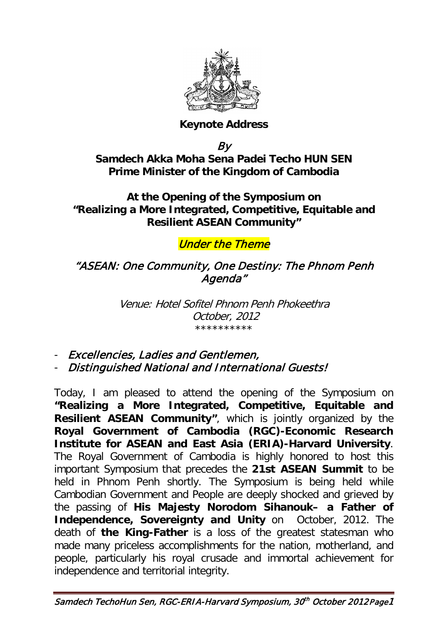

#### **Keynote Address**

By

**Samdech Akka Moha Sena Padei Techo HUN SEN Prime Minister of the Kingdom of Cambodia**

**At the Opening of the Symposium on "Realizing a More Integrated, Competitive, Equitable and Resilient ASEAN Community"**

### Under the Theme

#### "ASEAN: One Community, One Destiny: The Phnom Penh Agenda"

Venue: Hotel Sofitel Phnom Penh Phokeethra \*\*\*\*\*\*\*\*\*\* October, 2012

- Excellencies, Ladies and Gentlemen,

- Distinguished National and International Guests!

Today, I am pleased to attend the opening of the Symposium on **"Realizing a More Integrated, Competitive, Equitable and Resilient ASEAN Community"**, which is jointly organized by the **Royal Government of Cambodia (RGC)-Economic Research Institute for ASEAN and East Asia (ERIA)-Harvard University**. The Royal Government of Cambodia is highly honored to host this important Symposium that precedes the **21st ASEAN Summit** to be held in Phnom Penh shortly. The Symposium is being held while Cambodian Government and People are deeply shocked and grieved by the passing of **His Majesty Norodom Sihanouk– a Father of Independence, Sovereignty and Unity** on October, 2012. The death of **the King-Father** is a loss of the greatest statesman who made many priceless accomplishments for the nation, motherland, and people, particularly his royal crusade and immortal achievement for independence and territorial integrity.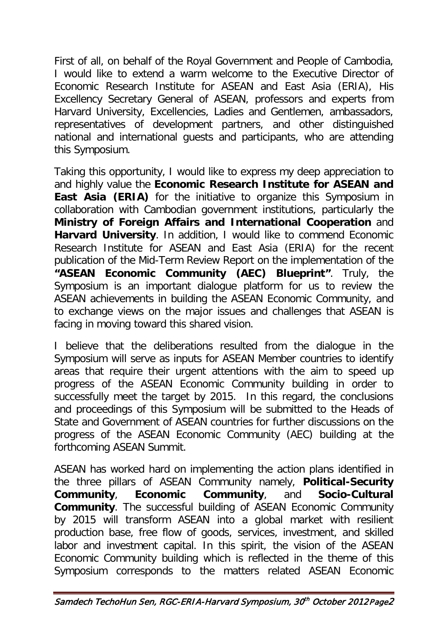First of all, on behalf of the Royal Government and People of Cambodia, I would like to extend a warm welcome to the Executive Director of Economic Research Institute for ASEAN and East Asia (ERIA), His Excellency Secretary General of ASEAN, professors and experts from Harvard University, Excellencies, Ladies and Gentlemen, ambassadors, representatives of development partners, and other distinguished national and international guests and participants, who are attending this Symposium.

Taking this opportunity, I would like to express my deep appreciation to and highly value the **Economic Research Institute for ASEAN and East Asia (ERIA)** for the initiative to organize this Symposium in collaboration with Cambodian government institutions, particularly the **Ministry of Foreign Affairs and International Cooperation** and **Harvard University**. In addition, I would like to commend Economic Research Institute for ASEAN and East Asia (ERIA) for the recent publication of the Mid-Term Review Report on the implementation of the **"ASEAN Economic Community (AEC) Blueprint"**. Truly, the Symposium is an important dialogue platform for us to review the ASEAN achievements in building the ASEAN Economic Community, and to exchange views on the major issues and challenges that ASEAN is facing in moving toward this shared vision.

I believe that the deliberations resulted from the dialogue in the Symposium will serve as inputs for ASEAN Member countries to identify areas that require their urgent attentions with the aim to speed up progress of the ASEAN Economic Community building in order to successfully meet the target by 2015. In this regard, the conclusions and proceedings of this Symposium will be submitted to the Heads of State and Government of ASEAN countries for further discussions on the progress of the ASEAN Economic Community (AEC) building at the forthcoming ASEAN Summit.

ASEAN has worked hard on implementing the action plans identified in the three pillars of ASEAN Community namely, **Political-Security Community**, **Economic Community**, and **Socio-Cultural Community**. The successful building of ASEAN Economic Community by 2015 will transform ASEAN into a global market with resilient production base, free flow of goods, services, investment, and skilled labor and investment capital. In this spirit, the vision of the ASEAN Economic Community building which is reflected in the theme of this Symposium corresponds to the matters related ASEAN Economic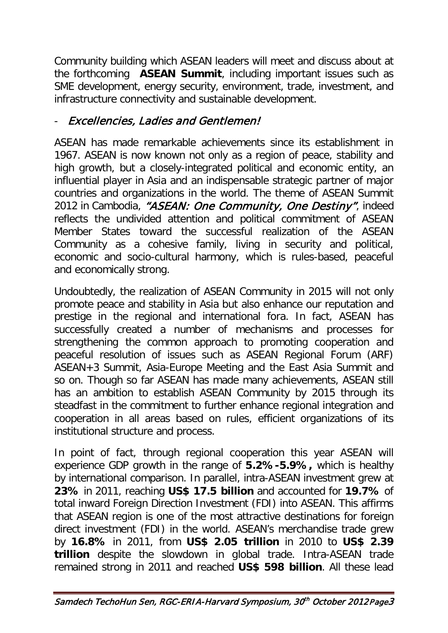Community building which ASEAN leaders will meet and discuss about at the forthcoming **ASEAN Summit**, including important issues such as SME development, energy security, environment, trade, investment, and infrastructure connectivity and sustainable development.

## Excellencies, Ladies and Gentlemen!

ASEAN has made remarkable achievements since its establishment in 1967. ASEAN is now known not only as a region of peace, stability and high growth, but a closely-integrated political and economic entity, an influential player in Asia and an indispensable strategic partner of major countries and organizations in the world. The theme of ASEAN Summit 2012 in Cambodia, "ASEAN: One Community, One Destiny", indeed reflects the undivided attention and political commitment of ASEAN Member States toward the successful realization of the ASEAN Community as a cohesive family, living in security and political, economic and socio-cultural harmony, which is rules-based, peaceful and economically strong.

Undoubtedly, the realization of ASEAN Community in 2015 will not only promote peace and stability in Asia but also enhance our reputation and prestige in the regional and international fora. In fact, ASEAN has successfully created a number of mechanisms and processes for strengthening the common approach to promoting cooperation and peaceful resolution of issues such as ASEAN Regional Forum (ARF) ASEAN+3 Summit, Asia-Europe Meeting and the East Asia Summit and so on. Though so far ASEAN has made many achievements, ASEAN still has an ambition to establish ASEAN Community by 2015 through its steadfast in the commitment to further enhance regional integration and cooperation in all areas based on rules, efficient organizations of its institutional structure and process.

In point of fact, through regional cooperation this year ASEAN will experience GDP growth in the range of **5.2%-5.9%,** which is healthy by international comparison. In parallel, intra-ASEAN investment grew at **23%** in 2011, reaching **US\$ 17.5 billion** and accounted for **19.7%** of total inward Foreign Direction Investment (FDI) into ASEAN. This affirms that ASEAN region is one of the most attractive destinations for foreign direct investment (FDI) in the world. ASEAN's merchandise trade grew by **16.8%** in 2011, from **US\$ 2.05 trillion** in 2010 to **US\$ 2.39 trillion** despite the slowdown in global trade. Intra-ASEAN trade remained strong in 2011 and reached **US\$ 598 billion**. All these lead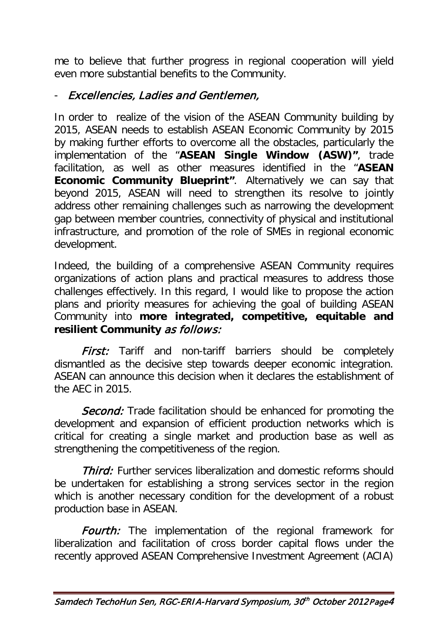me to believe that further progress in regional cooperation will yield even more substantial benefits to the Community.

## - Excellencies, Ladies and Gentlemen,

In order to realize of the vision of the ASEAN Community building by 2015, ASEAN needs to establish ASEAN Economic Community by 2015 by making further efforts to overcome all the obstacles, particularly the implementation of the "**ASEAN Single Window (ASW)"**, trade facilitation, as well as other measures identified in the "**ASEAN Economic Community Blueprint"**. Alternatively we can say that beyond 2015, ASEAN will need to strengthen its resolve to jointly address other remaining challenges such as narrowing the development gap between member countries, connectivity of physical and institutional infrastructure, and promotion of the role of SMEs in regional economic development.

Indeed, the building of a comprehensive ASEAN Community requires organizations of action plans and practical measures to address those challenges effectively. In this regard, I would like to propose the action plans and priority measures for achieving the goal of building ASEAN Community into **more integrated, competitive, equitable and resilient Community** as follows:

**First:** Tariff and non-tariff barriers should be completely dismantled as the decisive step towards deeper economic integration. ASEAN can announce this decision when it declares the establishment of the AEC in 2015.

**Second:** Trade facilitation should be enhanced for promoting the development and expansion of efficient production networks which is critical for creating a single market and production base as well as strengthening the competitiveness of the region.

**Third:** Further services liberalization and domestic reforms should be undertaken for establishing a strong services sector in the region which is another necessary condition for the development of a robust production base in ASEAN.

**Fourth:** The implementation of the regional framework for liberalization and facilitation of cross border capital flows under the recently approved ASEAN Comprehensive Investment Agreement (ACIA)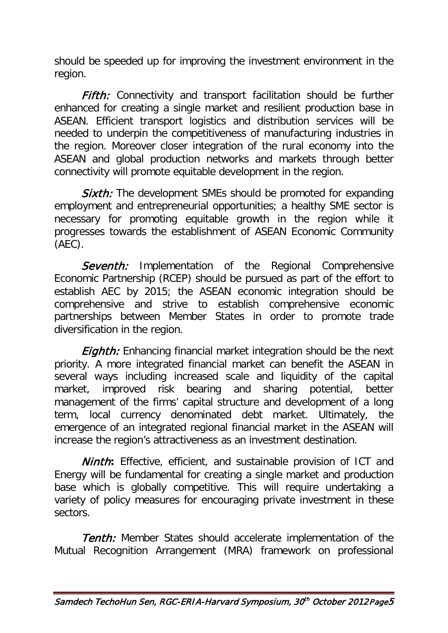should be speeded up for improving the investment environment in the region.

Fifth: Connectivity and transport facilitation should be further enhanced for creating a single market and resilient production base in ASEAN. Efficient transport logistics and distribution services will be needed to underpin the competitiveness of manufacturing industries in the region. Moreover closer integration of the rural economy into the ASEAN and global production networks and markets through better connectivity will promote equitable development in the region.

**Sixth:** The development SMEs should be promoted for expanding employment and entrepreneurial opportunities; a healthy SME sector is necessary for promoting equitable growth in the region while it progresses towards the establishment of ASEAN Economic Community (AEC).

Seventh: Implementation of the Regional Comprehensive Economic Partnership (RCEP) should be pursued as part of the effort to establish AEC by 2015; the ASEAN economic integration should be comprehensive and strive to establish comprehensive economic partnerships between Member States in order to promote trade diversification in the region.

**Eighth:** Enhancing financial market integration should be the next priority. A more integrated financial market can benefit the ASEAN in several ways including increased scale and liquidity of the capital market, improved risk bearing and sharing potential, better management of the firms' capital structure and development of a long term, local currency denominated debt market. Ultimately, the emergence of an integrated regional financial market in the ASEAN will increase the region's attractiveness as an investment destination.

Ninth**:** Effective, efficient, and sustainable provision of ICT and Energy will be fundamental for creating a single market and production base which is globally competitive. This will require undertaking a variety of policy measures for encouraging private investment in these sectors.

**Tenth:** Member States should accelerate implementation of the Mutual Recognition Arrangement (MRA) framework on professional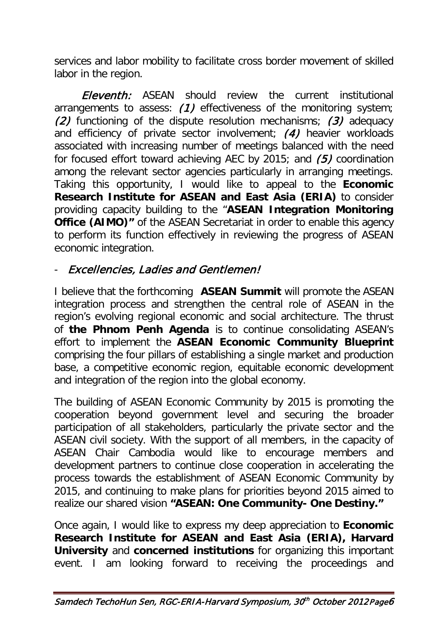services and labor mobility to facilitate cross border movement of skilled labor in the region.

Eleventh: ASEAN should review the current institutional arrangements to assess: (1) effectiveness of the monitoring system; (2) functioning of the dispute resolution mechanisms; (3) adequacy and efficiency of private sector involvement; (4) heavier workloads associated with increasing number of meetings balanced with the need for focused effort toward achieving AEC by 2015; and (5) coordination among the relevant sector agencies particularly in arranging meetings. Taking this opportunity, I would like to appeal to the **Economic Research Institute for ASEAN and East Asia (ERIA)** to consider providing capacity building to the "**ASEAN Integration Monitoring Office (AIMO)"** of the ASEAN Secretariat in order to enable this agency to perform its function effectively in reviewing the progress of ASEAN economic integration.

# - Excellencies, Ladies and Gentlemen!

I believe that the forthcoming **ASEAN Summit** will promote the ASEAN integration process and strengthen the central role of ASEAN in the region's evolving regional economic and social architecture. The thrust of **the Phnom Penh Agenda** is to continue consolidating ASEAN's effort to implement the **ASEAN Economic Community Blueprint** comprising the four pillars of establishing a single market and production base, a competitive economic region, equitable economic development and integration of the region into the global economy.

The building of ASEAN Economic Community by 2015 is promoting the cooperation beyond government level and securing the broader participation of all stakeholders, particularly the private sector and the ASEAN civil society. With the support of all members, in the capacity of ASEAN Chair Cambodia would like to encourage members and development partners to continue close cooperation in accelerating the process towards the establishment of ASEAN Economic Community by 2015, and continuing to make plans for priorities beyond 2015 aimed to realize our shared vision **"ASEAN: One Community- One Destiny."**

Once again, I would like to express my deep appreciation to **Economic Research Institute for ASEAN and East Asia (ERIA), Harvard University** and **concerned institutions** for organizing this important event. I am looking forward to receiving the proceedings and